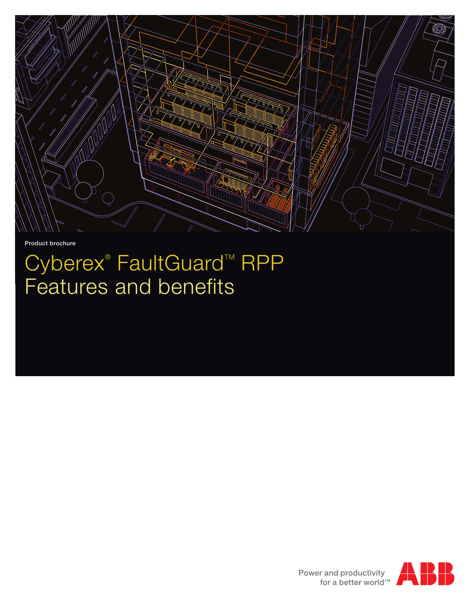

Product brochure

## Cyberex<sup>®</sup> FaultGuard<sup>™</sup> RPP Features and benefits



Power and productivity<br>for a better world™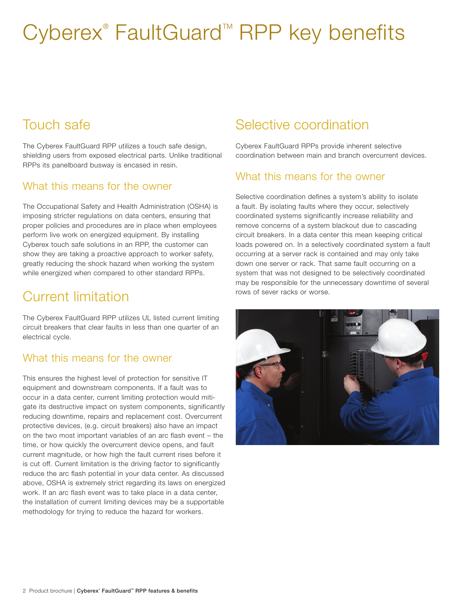# Cyberex<sup>®</sup> FaultGuard<sup>™</sup> RPP key benefits

## Touch safe

The Cyberex FaultGuard RPP utilizes a touch safe design, shielding users from exposed electrical parts. Unlike traditional RPPs its panelboard busway is encased in resin.

#### What this means for the owner

The Occupational Safety and Health Administration (OSHA) is imposing stricter regulations on data centers, ensuring that proper policies and procedures are in place when employees perform live work on energized equipment. By installing Cyberex touch safe solutions in an RPP, the customer can show they are taking a proactive approach to worker safety, greatly reducing the shock hazard when working the system while energized when compared to other standard RPPs.

## Current limitation

The Cyberex FaultGuard RPP utilizes UL listed current limiting circuit breakers that clear faults in less than one quarter of an electrical cycle.

#### What this means for the owner

This ensures the highest level of protection for sensitive IT equipment and downstream components. If a fault was to occur in a data center, current limiting protection would mitigate its destructive impact on system components, significantly reducing downtime, repairs and replacement cost. Overcurrent protective devices, (e.g. circuit breakers) also have an impact on the two most important variables of an arc flash event – the time, or how quickly the overcurrent device opens, and fault current magnitude, or how high the fault current rises before it is cut off. Current limitation is the driving factor to significantly reduce the arc flash potential in your data center. As discussed above, OSHA is extremely strict regarding its laws on energized work. If an arc flash event was to take place in a data center, the installation of current limiting devices may be a supportable methodology for trying to reduce the hazard for workers.

## Selective coordination

Cyberex FaultGuard RPPs provide inherent selective coordination between main and branch overcurrent devices.

#### What this means for the owner

Selective coordination defines a system's ability to isolate a fault. By isolating faults where they occur, selectively coordinated systems significantly increase reliability and remove concerns of a system blackout due to cascading circuit breakers. In a data center this mean keeping critical loads powered on. In a selectively coordinated system a fault occurring at a server rack is contained and may only take down one server or rack. That same fault occurring on a system that was not designed to be selectively coordinated may be responsible for the unnecessary downtime of several rows of sever racks or worse.

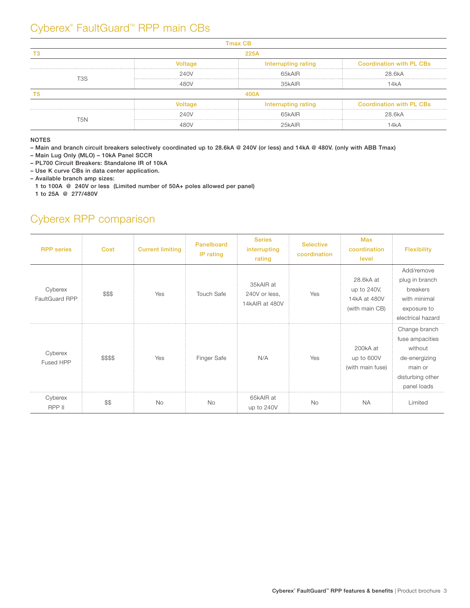### Cyberex® FaultGuard<sup>™</sup> RPP main CBs

|     | 225A    |                     |                                 |  |  |  |  |  |
|-----|---------|---------------------|---------------------------------|--|--|--|--|--|
|     | 'oltage | Interrupting rating | <b>Coordination with PL CBs</b> |  |  |  |  |  |
| 3۶. | 240V    | 65kAIR              | 28.6kA                          |  |  |  |  |  |
|     | 48N)    | 35kAIB              |                                 |  |  |  |  |  |
|     |         |                     |                                 |  |  |  |  |  |
|     |         | Interrupting rating | <b>Coordination with PL CBs</b> |  |  |  |  |  |
| .5N | 240V    | 65kAIR              | 28.6kA                          |  |  |  |  |  |
|     |         |                     |                                 |  |  |  |  |  |

NOTES

– Main and branch circuit breakers selectively coordinated up to 28.6kA @ 240V (or less) and 14kA @ 480V. (only with ABB Tmax)

– Main Lug Only (MLO) – 10kA Panel SCCR

– PL700 Circuit Breakers: Standalone IR of 10kA

– Use K curve CBs in data center application.

– Available branch amp sizes:

1 to 100A @ 240V or less (Limited number of 50A+ poles allowed per panel)

1 to 25A @ 277/480V

### Cyberex RPP comparison

| <b>RPP</b> series         | Cost     | <b>Current limiting</b> | Panelboard<br>IP rating | <b>Series</b><br>interrupting<br>rating      | <b>Selective</b><br>coordination | Max<br>coordination<br>level                               | <b>Flexibility</b>                                                                                         |
|---------------------------|----------|-------------------------|-------------------------|----------------------------------------------|----------------------------------|------------------------------------------------------------|------------------------------------------------------------------------------------------------------------|
| Cyberex<br>FaultGuard RPP | \$\$\$   | Yes                     | <b>Touch Safe</b>       | 35kAIR at<br>240V or less,<br>14kAIR at 480V | Yes                              | 28.6kA at<br>up to 240V,<br>14kA at 480V<br>(with main CB) | Add/remove<br>plug in branch<br>breakers<br>with minimal<br>exposure to<br>electrical hazard               |
| Cyberex<br>Fused HPP      | \$\$\$\$ | Yes                     | Finger Safe             | N/A                                          | Yes                              | 200kA at<br>up to 600V<br>(with main fuse)                 | Change branch<br>fuse ampacities<br>without<br>de-energizing<br>main or<br>disturbing other<br>panel loads |
| Cyberex<br>RPP II         | \$\$     | <b>No</b>               | <b>No</b>               | 65kAIR at<br>up to 240V                      | <b>No</b>                        | <b>NA</b>                                                  | Limited                                                                                                    |